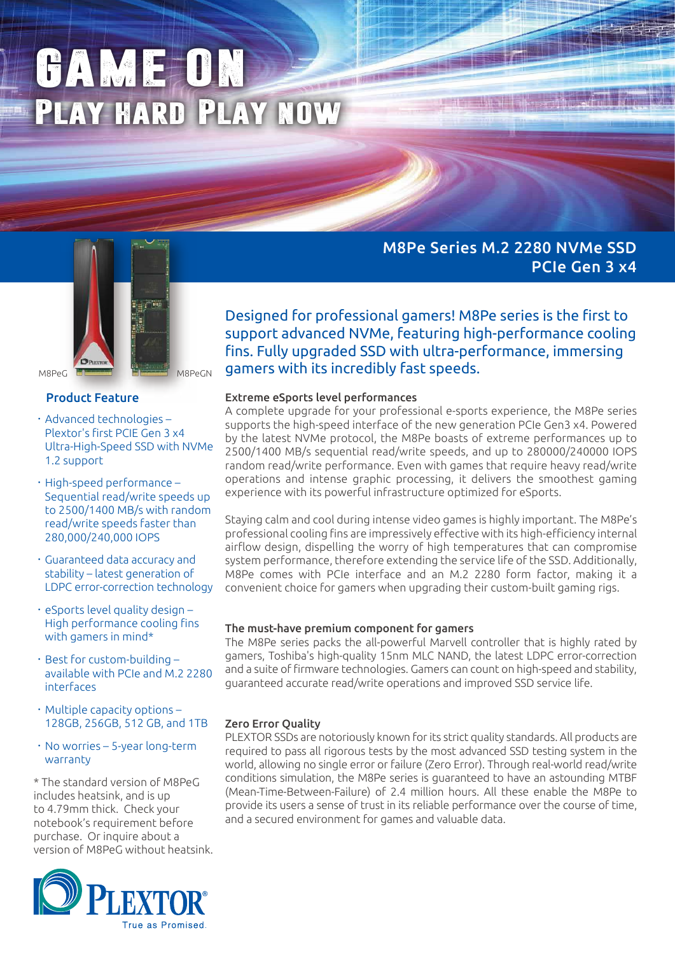# GAME ON Play hard Play now



# Product Feature

- ‧Advanced technologies Plextor's first PCIE Gen 3 x4 Ultra-High-Speed SSD with NVMe 1.2 support
- ‧High-speed performance Sequential read/write speeds up to 2500/1400 MB/s with random read/write speeds faster than 280,000/240,000 IOPS
- ‧Guaranteed data accuracy and stability – latest generation of LDPC error-correction technology
- ‧eSports level quality design High performance cooling fins with gamers in mind\*
- ‧Best for custom-building available with PCIe and M.2 2280 interfaces
- ‧Multiple capacity options 128GB, 256GB, 512 GB, and 1TB
- $\cdot$  No worries 5-year long-term warranty

\* The standard version of M8PeG includes heatsink, and is up to 4.79mm thick. Check your notebook's requirement before purchase. Or inquire about a version of M8PeG without heatsink.



M8Pe Series M.2 2280 NVMe SSD PCIe Gen 3 x4

Designed for professional gamers! M8Pe series is the first to support advanced NVMe, featuring high-performance cooling fins. Fully upgraded SSD with ultra-performance, immersing gamers with its incredibly fast speeds.

## Extreme eSports level performances

A complete upgrade for your professional e-sports experience, the M8Pe series supports the high-speed interface of the new generation PCIe Gen3 x4. Powered by the latest NVMe protocol, the M8Pe boasts of extreme performances up to 2500/1400 MB/s sequential read/write speeds, and up to 280000/240000 IOPS random read/write performance. Even with games that require heavy read/write operations and intense graphic processing, it delivers the smoothest gaming experience with its powerful infrastructure optimized for eSports.

Staying calm and cool during intense video games is highly important. The M8Pe's professional cooling fins are impressively effective with its high-efficiency internal airflow design, dispelling the worry of high temperatures that can compromise system performance, therefore extending the service life of the SSD. Additionally, M8Pe comes with PCIe interface and an M.2 2280 form factor, making it a convenient choice for gamers when upgrading their custom-built gaming rigs.

#### The must-have premium component for gamers

The M8Pe series packs the all-powerful Marvell controller that is highly rated by gamers, Toshiba's high-quality 15nm MLC NAND, the latest LDPC error-correction and a suite of firmware technologies. Gamers can count on high-speed and stability, guaranteed accurate read/write operations and improved SSD service life.

## Zero Error Quality

PLEXTOR SSDs are notoriously known for its strict quality standards. All products are required to pass all rigorous tests by the most advanced SSD testing system in the world, allowing no single error or failure (Zero Error). Through real-world read/write conditions simulation, the M8Pe series is guaranteed to have an astounding MTBF (Mean-Time-Between-Failure) of 2.4 million hours. All these enable the M8Pe to provide its users a sense of trust in its reliable performance over the course of time, and a secured environment for games and valuable data.